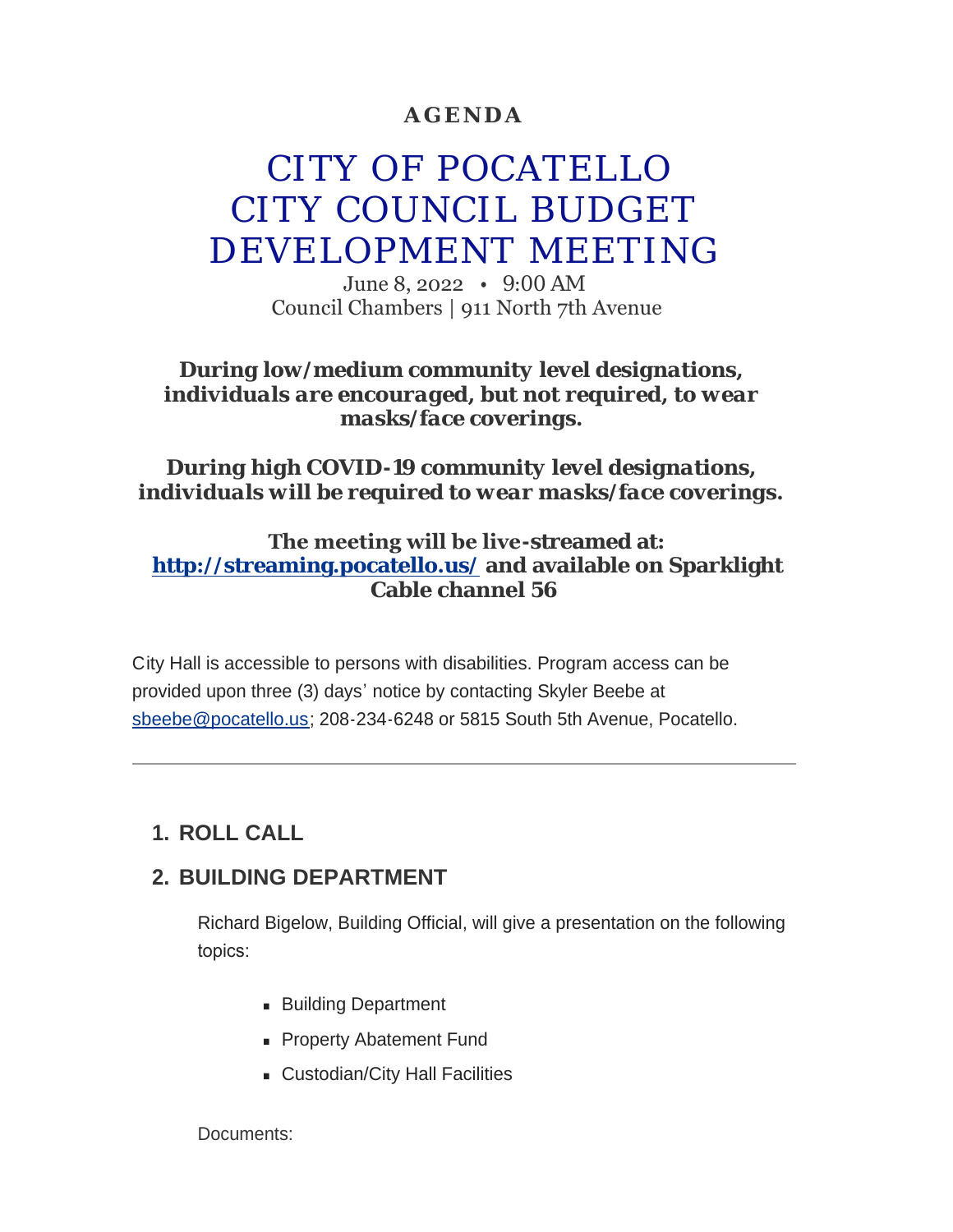## **AGENDA**

# CITY OF POCATELLO CITY COUNCIL BUDGET DEVELOPMENT MEETING

June 8, 2022 • 9:00 AM Council Chambers | 911 North 7th Avenue

### *During low/medium community level designations, individuals are encouraged, but not required, to wear masks/face coverings.*

## *During high COVID-19 community level designations, individuals will be required to wear masks/face coverings.*

## **The meeting will be live-streamed at: <http://streaming.pocatello.us/> and available on Sparklight Cable channel 56**

City Hall is accessible to persons with disabilities. Program access can be [provided upon three \(3](mailto:sbeebe@pocatello.us)) days' notice by contacting Skyler Beebe at sbeebe@pocatello.us; 208-234-6248 or 5815 South 5th Avenue, Pocatello.

# **ROLL CALL 1.**

## **BUILDING DEPARTMENT 2.**

Richard Bigelow, Building Official, will give a presentation on the following topics:

- **Building Department**
- **Property Abatement Fund**
- **Exercise Custodian/City Hall Facilities**

Documents: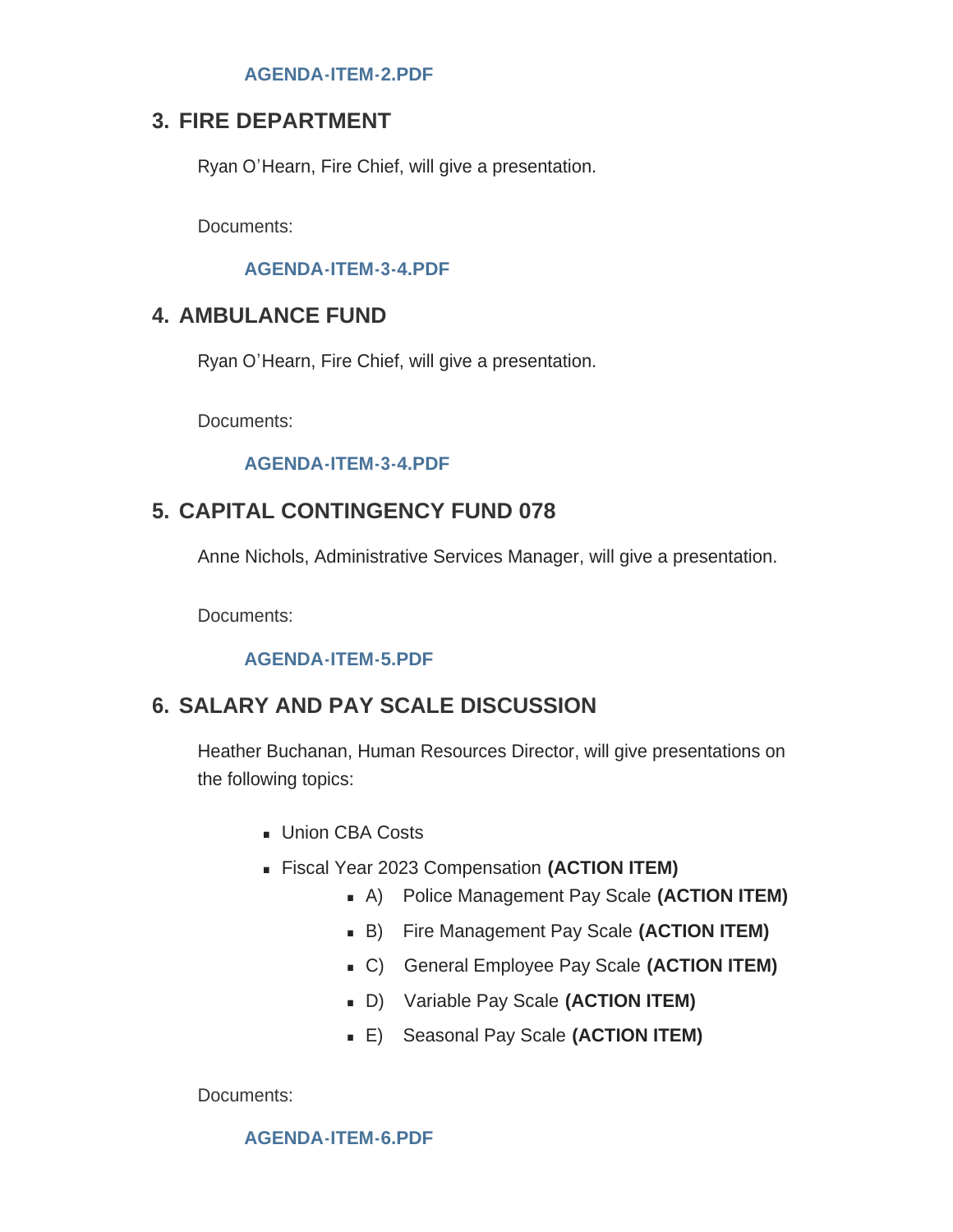#### **[AGENDA-ITEM-2.PDF](https://www.pocatello.us/AgendaCenter/ViewFile/Item/3420?fileID=10858)**

## **FIRE DEPARTMENT 3.**

Ryan O'Hearn, Fire Chief, will give a presentation.

Documents:

#### **[AGENDA-ITEM-3-4.PDF](https://www.pocatello.us/AgendaCenter/ViewFile/Item/3421?fileID=10859)**

## **AMBULANCE FUND 4.**

Ryan O'Hearn, Fire Chief, will give a presentation.

Documents:

#### **[AGENDA-ITEM-3-4.PDF](https://www.pocatello.us/AgendaCenter/ViewFile/Item/3422?fileID=10860)**

## **CAPITAL CONTINGENCY FUND 078 5.**

Anne Nichols, Administrative Services Manager, will give a presentation.

Documents:

#### **[AGENDA-ITEM-5.PDF](https://www.pocatello.us/AgendaCenter/ViewFile/Item/3423?fileID=10861)**

# **SALARY AND PAY SCALE DISCUSSION 6.**

Heather Buchanan, Human Resources Director, will give presentations on the following topics:

- **u** Union CBA Costs
- <sup>n</sup> Fiscal Year 2023 Compensation **(ACTION ITEM)**
	- **A)** Police Management Pay Scale (ACTION ITEM)
	- <sup>n</sup> B) Fire Management Pay Scale **(ACTION ITEM)**
	- <sup>n</sup> C) General Employee Pay Scale **(ACTION ITEM)**
	- D) Variable Pay Scale (ACTION ITEM)
	- <sup>n</sup> E) Seasonal Pay Scale **(ACTION ITEM)**

Documents:

**[AGENDA-ITEM-6.PDF](https://www.pocatello.us/AgendaCenter/ViewFile/Item/3424?fileID=10866)**